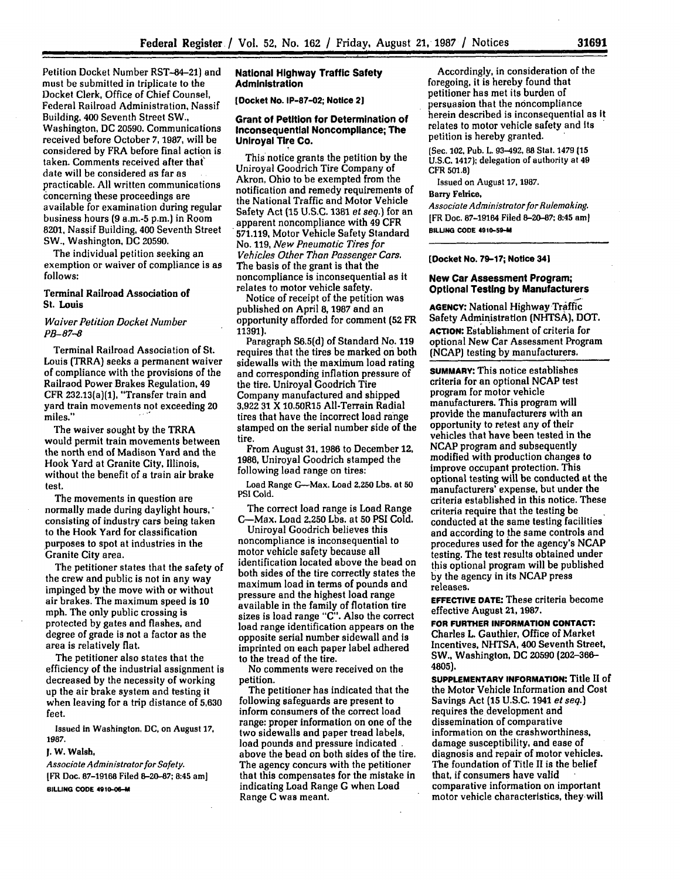Petition Docket Number RST-84-21) and must be submitted in triplicate to the Docket Clerk, Office of Chief Counsel, Federal Railroad Administration, Nassif Building, 400 Seventh Street SW., Washington, DC **20590.** Communications received before October *7,* **1987,** will be considered **by** FRA before final action is taken. Comments received after that' date will be considered as far as practicable. **All** written communications concerning these proceedings are available for examination during regular business hours **(9** a.m.-5 p.m.) in Room **8201,** Nassif Building, 400 Seventh Street SW., Washington, **DC 20590.**

The individual petition seeking an exemption or waiver of compliance is as **follows:**

## Terminal Railroad Association of **St.** Louis

*Waiver Petition Docket Number PB-87-8*

Terminal Railroad Association of St. Louis (TRRA) seeks a permanent waiver of compliance with the provisions of the Railraod Power Brakes Regulation, 49 CFR 232.13(a)(1), "Transfer train and yard train movements not exceeding 20 miles."

The waiver sought by the TRRA would permit train movements between the north end of Madison Yard and the Hook Yard at Granite City, Illinois, without the benefit of a train air brake test.

The movements in question are normally made during daylight hours, consisting of industry cars being taken to the Hook Yard for classification purposes to spot at industries in the Granite City area.

The petitioner states that the safety of the crew and public is not in any way impinged **by** the move with or without air brakes. The maximum speed is **10** mph. The only public crossing is protected **by** gates and flashes, and degree of grade is not a factor as the area is relatively flat.

The petitioner also states that the efficiency of the industrial assignment is decreased **by** the necessity of working up the air brake system and testing it when leaving for a trip distance of **5,630** feet.

Issued in Washington, **DC,** on August **17, 1987.**

# **J. W. Walsh,**

*Associate Administrator for Safety.* **[FR** Doc. **87-19168** Filed **8-20-87;** 8:45 am] **BILLING CODE 4910-06-M**

#### **National Highway Traffic Safety Administration**

**[Docket No. IP-87-02; Notice 21**

### **Grant of Petition for Determination of Inconsequential Noncompliance; The Uniroyal Tire Co.**

This'notice grants the petition **by** the Uniroyal Goodrich Tire Company of Akron, Ohio to be exempted from the notification and remedy requirements of the National Traffic and Motor Vehicle Safety Act **(15 U.S.C.** 1381 *et seq.)* for an apparent noncompliance with 49 CFR **571.119,** Motor Vehicle Safety Standard No. **119,** *New Pneumatic Tires for Vehicles Other Than Passenger Cars.* The basis of the grant is that the noncompliance is inconsequential as it relates to motor vehicle safety.

Notice of receipt of the petition was published on April **8, 1987** and an opportunity afforded for comment (52 FR 11391).

Paragraph **S6.5(d)** of Standard No. **119** requires that the tires be marked on both sidewalls with the maximum load rating and corresponding inflation pressure of the tire. Uniroyal Goodrich Tire Company manufactured and shipped **3,922 31** X 10.50R15 All-Terrain Radial tires that have the incorrect load range stamped on the serial number side of the tire.

From August **31, 1986** to December 12, **1986,** Uniroyal Goodrich stamped the following load range on tires:

Load Range G-Max. Load **2,250** Lbs. at **50 PSI** Cold.

The correct load range is Load Range C-Max. Load **2,250** Lbs. at **50 PSI** Cold.

Uniroyal Goodrich believes this noncompliance is inconsequential to motor vehicle safety because all identification located above the bead on both sides of the tire correctly states the maximum load in terms of pounds and pressure and the highest load range available in the family of flotation tire sizes is load range **"C".** Also the correct load range identification appears on the opposite serial number sidewall and is imprinted on each paper label adhered to the tread of the tire.

No comments were received on the petition.

The petitioner has indicated that the following safeguards are present to inform consumers of the correct load range: proper information on one of the two sidewalls and paper tread labels, load pounds and pressure indicated above the bead on both sides of the tire. The agency concurs with the petitioner that this compensates for the mistake in indicating Load Range G when Load Range C was meant.

Accordingly, in consideration of the foregoing, it is hereby found that petitioner has met its burden of **persuasion that the noncompliance** herein described is inconsequential as it relates to motor vehicle safety and Its petition is hereby granted.

(Sec. 102, Pub. L 93-492, **88** Stat. 1479 **(15 U.S.C.** 1417); delegation of authority at **49** CFR 501.8)

Issued on August **17, 1987.**

# Barry Felrice,

*Associate Administrator for Rulemaking.* [FR Doc. 87-19164 Filed **8-20-87;** 8:45 am] **BILLING CODE 4910-59-M**

**(Docket No. 79-17; Notice 341**

### **New Car Assessment Program; Optional Testing by Manufacturers**

**AGENCY:** National **Highway** Traffic Safety Administration **(NHTSA),** DOT. **ACTION:** Establishment of criteria for optional New Car Assessment Program **(NCAP)** testing **by** manufacturers.

**SUMMARY:** This notice establishes criteria for an optional NCAP test program for motor vehicle manufacturers. This program will provide the manufacturers with an opportunity to retest any of their vehicles that have been tested in the **NCAP** program and subsequently modified with production changes to improve occupant protection. This optional testing will be conducted at the manufacturers' expense, but under the criteria established in this notice. These criteria require that the testing be conducted at the same testing facilities and according to the same controls and procedures used for the agency's NCAP testing. The test results obtained under this optional program will be published by the agency in its NCAP press releases.

**EFFECTIVE DATE:** These criteria become effective August 21, **1987.**

**FOR FURTHER INFORMATION CONTACT.** Charles L. Gauthier, Office of Market Incentives. NHTSA, 400 Seventh Street, SW., Washington, **DC 20590 (202-366- 4805).**

**SUPPLEMENTARY INFORMATION: Title II of** the Motor Vehicle Information and Cost Savings Act **(15 U.S.C.** 1941 *et seq.)* requires the development and dissemination of comparative information on the crashworthiness, damage susceptibility, and ease of diagnosis and repair of motor vehicles. The foundation of Title II is the belief that, if consumers have valid comparative information on important motor vehicle characteristics, they-will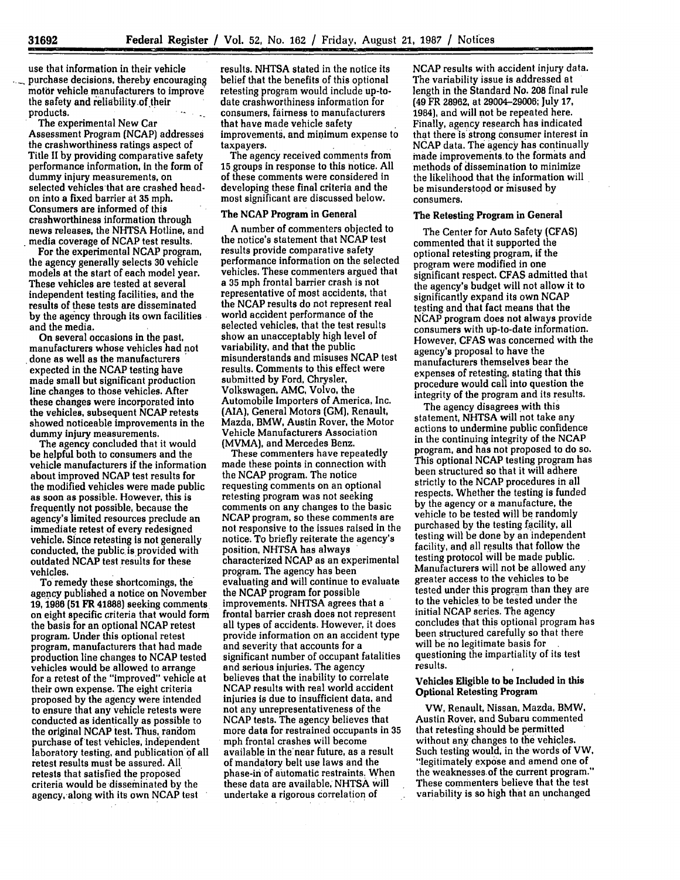**31692**

use that information in their vehicle purchase decisions, thereby encouraging motor vehicle manufacturers to improve the safety and reliability of their products.

The experimental New Car Assessment Program (NCAP) addresses the crashworthiness ratings aspect of Title II by providing comparative safety performance information, In the form of dummy injury measurements, on selected vehicles that are crashed headon into a fixed barrier at **35** mph. Consumers are informed of this crashworthiness information through news releases, the NHTSA Hotline, and media coverage of **NCAP** test results.

For the experimental NCAP program, the agency generally selects **30** vehicle models at the start of each model year. These vehicles are tested at several independent testing facilities, and the results of these tests are disseminated **by** the agency through its own facilities and the media.

On several occasions in the past, manufacturers whose vehicles had not done as well as the manufacturers expected in the NCAP testing have made small but significant production line changes to those vehicles. After these changes were incorporated into the vehicles, subsequent **NCAP** retests showed noticeable improvements in the dummy injury measurements.

The agency concluded that it would be helpful both to consumers and the vehicle manufacturers if the information about improved **NCAP** test results for the modified vehicles were made public as soon as possible. However, this is frequently not possible, because the agency's limited resources preclude an immediate retest of every redesigned vehicle. Since retesting is not generally conducted, the public is provided with outdated **NCAP** test results for these vehicles.

To remedy these shortcomings, the agency published a notice on November **19,** 1986 **(51** FR **41888)** seeking comments on eight specific criteria that would form the basis for an optional NCAP retest program. Under this optional retest program, manufacturers that had made production line changes to NCAP tested vehicles would be allowed to arrange for a retest of the "improved" vehicle at their own expense. The eight criteria proposed by the agency were intended to ensure that any vehicle retests were conducted as identically as possible to the original NCAP test. Thus, random purchase of test vehicles, independent laboratory testing, and publication' **of** all retest results must be assured. **All.** retests that satisfied the proposed criteria would be disseminated by the agency, along with its own **NCAP** test

results. NHTSA stated in the notice its belief that the benefits of this optional retesting program would include up-todate crashworthiness information for consumers, fairness to manufacturers that have made vehicle safety improvements, and minimum expense to taxpayers.

The agency received comments from **15** groups in response to this notice. All of these comments were considered in developing these final criteria and the most significant are discussed below.

#### The NCAP Program in General

A number of commenters objected to the notice's statement that **NCAP** test results provide comparative safety performance information on the selected vehicles. These commenters argued that a **35** mph frontal barrier crash is not representative of most accidents, that the **NCAP** results do not represent real world accident performance of **the** selected vehicles, that the test results show an unacceptably high level of variability, and that the public misunderstands and misuses **NCAP** test results. Comments to this effect were submitted by Ford, Chrysler, Volkswagen, **AMC,** Volvo, the Automobile Importers of America, Inc. (AIA), General Motors **(GM),** Renault, Mazda, BMW, Austin Rover, the Motor Vehicle Manufacturers Association (MVMA), and Mercedes Benz.

These commenters have repeatedly made these points in connection with the **NCAP** program. The notice requesting comments on an optional retesting program was not seeking comments on any changes to the basic **NCAP** program, so these comments are not responsive to the issues raised in the notice. To briefly reiterate the agency's position, **NHTSA** has always characterized **NCAP** as an experimental program. The agency has been evaluating and will continue to evaluate the **NCAP** program for possible improvements. **NHTSA** agrees that a frontal barrier crash does not represent all types of accidents. However, it does provide information on an accident type and severity that accounts for a significant number of occupant fatalities and serious injuries. The agency believes that the inability to correlate **NCAP** results with real world accident injuries is due to insufficient data, and not any unrepresentativeness of the **NCAP** tests. The agency believes that more data for restrained occupants in **35** mph frontal crashes will become available **in'** the-near future, as a result of mandatory belt use laws and the phase-in of automatic restraints. When these data are available, **NHTSA** will undertake a rigorous correlation of

**NCAP** results with accident injury data. The variability issue is addressed at length in the Standard No. 208 final rule (49 FR 28962, at 29004-29006; July **17,** 1984), and will not be repeated here. Finally, agency research has indicated that there is strong consumer interest in **NCAP** data. **The** agency has continually made improvements to the formats and methods of dissemination to minimize the likelihood that the information will be misunderstood or misused **by** consumers.

## The Retesting Program in General

The Center for Auto Safety (CFAS) commented that it supported the optional retesting program, if the program were modified in one significant respect. **CFAS** admitted that the agency's budget will not allow it to significantly expand its own **NCAP** testing and that fact means that the NCAP program does not always provide consumers with up-to-date information. However, **CFAS** was concerned with the agency's proposal to have the manufacturers themselves bear the expenses of retesting, stating that this procedure would call into question the integrity of the program and its results.

The agency disagrees with this statement, **NHTSA** will not take any actions to undermine public confidence in the continuing integrity of the **NCAP** program, and has not proposed to do so. This optional NCAP testing program has been structured so that it will adhere strictly to the **NCAP** procedures in all respects. Whether the testing is funded **by** the agency or a manufacture, the vehicle to be tested will **be** randomly purchased **by** the testing facility, all testing will be done **by** an independent facility, and all results that follow the testing protocol will be made public. Manufacturers will not be allowed any greater access to the vehicles to be tested under this program than they are to the vehicles to be tested under the initial NCAP series. The agency concludes that this optional program has been structured carefully so that there will be no legitimate basis for questioning the impartiality of its test results.

#### Vehicles Eligible to be Included in this Optional Retesting Program

VW, Renault, Nissan, Mazda, BMW, Austin Rover, and Subaru commented that retesting should be permitted without any changes to the vehicles. Such testing would, in the words of VW, "legitimately expose and amend one of the weaknesses-of the current program." These commenters believe that the test variability is so high that an unchanged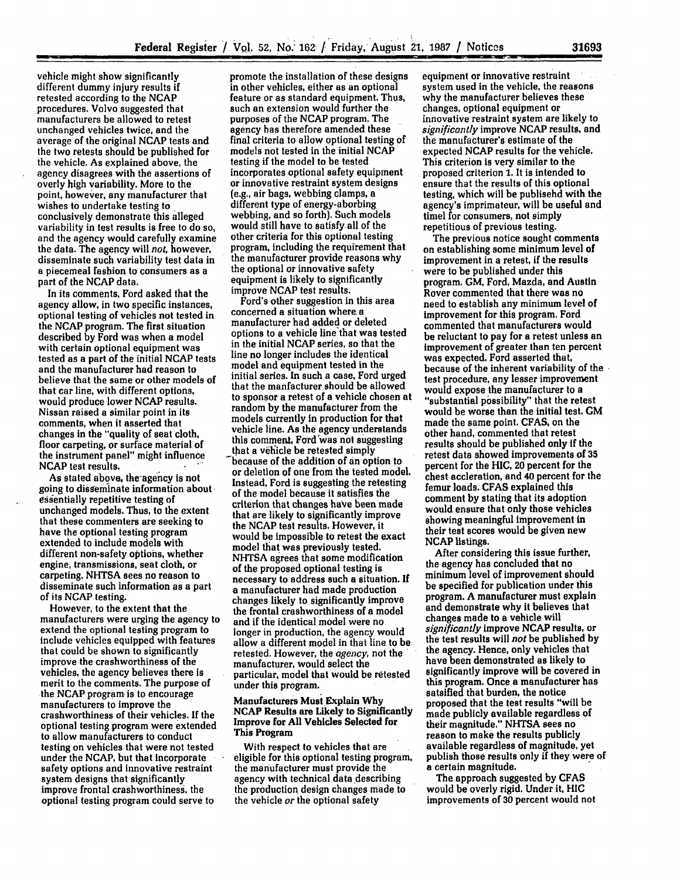vehicle might show significantly different dummy injury results if retested according to the **NCAP** procedures. Volvo suggested that manufacturers be allowed to retest unchanged vehicles twice, and the average of the original **NCAP** tests and the two retests should be published for the vehicle. As explained above, the agency disagrees with the assertions of overly high variability. More to the point, however, any manufacturer that wishes to undertake testing **to.** conclusively demonstrate this alleged variability in test results is free to do so, and the agency would carefully examine the data. The agency will *not,* however, disseminate such variability test data in a piecemeal fashion to consumers as a part of the **NCAP** data.

In its comments, Ford asked that the agency allow, in two specific instances, optional testing of vehicles not tested in the **NCAP** program. The first situation described **by** Ford was when a model with certain optional equipment was tested as a part of the initial **NCAP** tests and the manufacturer had reason to believe that the same or other models of that car line, with different options, would produce lower **NCAP** results. Nissan raised a similar point in its comments, when it asserted that changes in the "quality of seat cloth, floor carpeting, or surface material of the instrument panel" might influence **NCAP** test results.

As stated above, the-agency is not going to disseminate information about essentially repetitive testing of unchanged models. Thus, to the extent that these commenters are seeking to have the optional testing program extended to include models with different non-safety options, whether engine, transmissions, seat cloth, or carpeting, **NHTSA** sees no reason to disseminate such information as a part of its NCAP testing.

However, to the extent that the manufacturers were urging the agency to extend the optional testing program to include vehicles equipped with features that could be shown to significantly improve the crashworthiness of the vehicles, the agency believes there is merit to the comments. The purpose **of** the **NCAP** program is to encourage manufacturers to improve the crashworthiness of their vehicles. **If** the optional testing program were extended to allow manufacturers to conduct testing on vehicles that were not tested under the **NCAP,** but that incorporate safety options and innovative restraint system designs that significantly improve frontal crashworthiness, the optional testing program could serve to

promote the installation of these designs in other vehicles, either as an optional feature or as standard equipment. Thus, such an extension would further the purposes of the **NCAP** program. The agency has therefore amended these final criteria to allow optional testing of models not tested in the initial **NCAP** testing if the model to be tested incorporates optional safety equipment or innovative restraint system designs (e.g., air bags, webbing clamps, a different type of energy-aborbing webbing, and so forth). Such models would still have to satisfy all of the other criteria for this optional testing program, including the requirement that the manufacturer provide reasons why the optional or innovative safety equipment is likely to significantly improve NCAP test results.

Ford's other suggestion in this area concerned a situation where a manufacturer had added or deleted options to a vehicle line that was tested in the initial **NCAP** series, so that the line no longer includes the identical model and equipment tested in the initial series. In such a case, Ford urged that the manfacturer should be allowed to sponsor a retest of a vehicle chosen at random **by** the manufacturer from the models currently in production for that vehicle line. As the agency understands this comment, Ford was not suggesting that a vehicle be retested simply because of the addition of an option to or deletion of one from the tested model. Instead, Ford is suggesting the retesting of the model because it satisfies the criterion that changes have been made that are likely to significantly improve the NCAP test results. However, it would be impossible to retest the exact model that was previously tested. NHTSA agrees that some modification of the proposed optional testing is necessary to address such a situation. If a manufacturer had made production changes likely to significantly improve the frontal crashworthiness of a model and if the identical model were no longer in production, the agency would allow a different model in that line to be retested. However, the *agency,* not the manufacturer, would select the particular, model that would be retested under this program.

#### Manufacturers Must.Explain **Why NCAP** Results are Likely to Significantly Improve for **All** Vehicles Selected for This Program

With respect to vehicles that are eligible for this optional testing program, the manufacturer must provide the agency with technical data describing the production design changes made to the vehicle *or* the optional safety

equipment or innovative restraint system used in the vehicle, the reasons why the manufacturer believes these changes, optional equipment or innovative restraint system are likely to *significantly* improve **NCAP** results, and the manufacturer's estimate of the expected **NCAP** results for the vehicle. This criterion **is** very similar to the proposed criterion **1.** It is intended to ensure that the results of this optional testing, which will be publisehd with the agency's imprimateur, will be useful and timel for consumers, not simply repetitious of previous testing.

The previous notice sought comments on establishing some minimum level of improvement in a retest, if the results were to be published under this program. GM, Ford, Mazda, and Austin Rover commented that there was no need to establish any minimum level of improvement for this program. Ford commented that manufacturers would be reluctant to pay for a retest unless an improvement of greater than ten percent was expected. Ford asserted that, because of the inherent variability of the test procedure, any lesser improvement<br>would expose the manufacturer to a "substantial possibility" that the retest would be worse than the initial test. **GM** made the same point. **CFAS,** on the other hand, commented that retest results should be published only **If** the retest data showed improvements of **35** percent for the **HIC,** 20 percent for the chest accleration, and 40 percent for the femur loads. **CFAS** explained this comment **by** stating that its adoption would ensure that only those vehicles showing meaningful improvement in their test scores would be given new **NCAP** listings.

After considering this issue further, the agency has concluded that no minimum level of improvement should be specified for publication under this program. A manufacturer must explain and demonstrate why it believes that changes made to a vehicle will *significantly* improve **NCAP** results, or the test results will *not* be published **by** the agency. Hence, only vehicles that have been demonstrated as likely to significantly improve will be covered in this program. Once a manufacturer has satsified that burden, the notice proposed that the test results "will be made publicly available regardless of their magnitude." **NHTSA** sees no reason to make the results publicly available regardless of magnitude, yet publish those results only if they were of a certain magnitude.

The approach suggested **by CFAS** would be overly rigid. Under it, **HIC** improvements of **30** percent would not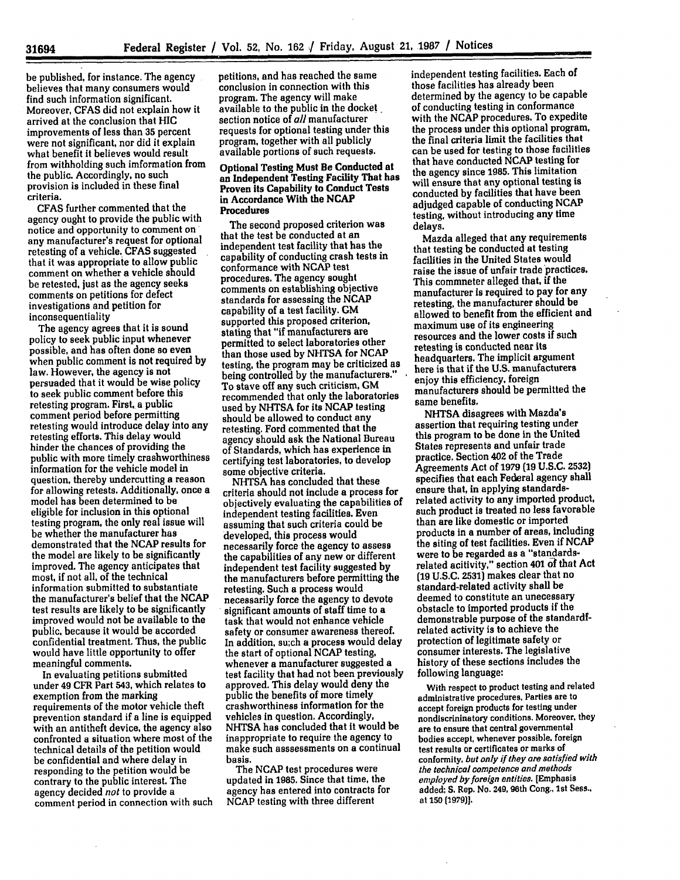be published, for instance. The agency believes that many consumers would find such information significant. Moreover, **CFAS** did not explain how it arrived at the conclusion that **HIC** improvements of less than **35** percent were not significant, nor did it explain what benefit it believes would result from withholding such imformation from the public. Accordingly, no such provision is included in these final criteria.

CFAS further commented that the agency ought to provide the public with notice and opportunity to comment on any manufacturer's request for optional retesting of a vehicle. **CFAS** suggested that it was appropriate to allow public comment on whether a vehicle should be retested, just as the agency seeks comments on petitions for defect investigations and petition for inconsequentiality

The agency agrees that it is sound policy to seek public input whenever possible, and has often done so even when public comment is not required **by** law. However, the agency is not persuaded that it would be wise policy to seek public comment before this retesting program. First, a public comment period before permitting retesting would introduce delay into any retesting efforts. This delay would hinder the chances of providing the public with more timely crashworthiness information for the vehicle model in question, thereby undercutting a reason for allowing retests. Additionally, once a model has been determined to be eligible for inclusion in this optional testing program, the only real issue will be whether the manufacturer has demonstrated that the **NCAP** results for the model are likely to be significantly improved. The agency anticipates that most, if not all, of the technical information submitted to substantiate the manufacturer's belief that the **NCAP** test results are likely to be significantly improved would not be available to the public, because it would be accorded confidential treatment. Thus, the public would have little opportunity to offer meaningful comments.

In evaluating petitions submitted under 49 CFR Part 543, which relates to exemption from the marking requirements of the motor vehicle theft prevention standard if a line is equipped with an antitheft device, the agency also confronted a situation where most of the technical details of **the** petition would be confidential and where delay in responding to the petition would be contrary to the public interest. The agency decided *not* to provide a comment period in connection with such

petitions, and has reached the same conclusion in connection with this program. The agency will make available to the public in the docket section notice of *all* manufacturer requests for optional testing under this program, together with all publicly available portions of such requests.

### Optional Testing Must Be Conducted at an Independent Testing Facility That has Proven its Capability to Conduct Tests in Accordance With the **NCAP** Procedures

The second proposed criterion was that the test be conducted at an independent test facility that has the capability of conducting crash tests in conformance with **NCAP** test procedures. The agency sought comments on establishing objective standards for assessing the **NCAP** capability of a test facility. GM supported this proposed criterion, stating that "if manufacturers are permitted to select laboratories other than those used **by** NHTSA for **NCAP** testing, the program may be criticized as being controlled by the manufacturers." To stave off any such criticism, **GM** recommended that only the laboratories used **by** NHTSA for its **NCAP** testing should be allowed to conduct any retesting. Ford commented that the agency should ask the National Bureau of Standards, which has experience in certifying test laboratories, to develop some objective criteria.

**NHTSA** has concluded that these criteria should not include a process for objectively evaluating the capabilities of independent testing facilities. Even assuming that such criteria could be developed, this process would necessarily force the agency to assess the capabilities of any new or different independent test facility suggested **by** the manufacturers before permitting the retesting. Such a process would necessarily force the agency to devote significant amounts of staff time to a task that would not enhance vehicle safety or consumer awareness thereof. In addition, su;ch a process would delay the start of optional **NCAP** testing, whenever a manufacturer suggested a test facility that had not been previously approved. This delay would deny the public the benefits of more timely crashworthiness information for the vehicles in question. Accordingly, **NHTSA** has concluded that it would be inappropriate to require the agency to make such asssessments on a continual basis.

The **NCAP** test procedures were updated in 1985. Since that time, the agency has entered into contracts for NCAP testing with three different

independent testing facilities. Each of those facilities has already been determined **by** the agency to be capable of conducting testing in conformance with the **NCAP** procedures. To expedite the process under this optional program, the final criteria limit the facilities that can be used for testing to those facilities that have conducted **NCAP** testing for the agency since **1985.** This limitation will ensure that any optional testing is conducted **by** facilities that have been adjudged capable of conducting **NCAP** testing, without introducing any time delays.

Mazda alleged that any requirements that testing be conducted at testing facilities in the United States would raise the issue of unfair trade practices. This commneter alleged that, if the manufacturer is required to pay for any retesting, the manufacturer should be allowed to benefit from the efficient and maximum use of its engineering resources and the lower costs if such retesting is conducted near its headquarters. The implicit argument here is that if the **U.S.** manufacturers enjoy this efficiency, foreign manufacturers should be permitted the same benefits,

**NHTSA** disagrees with Mazda's assertion that requiring testing under this program to be done in the United States represents and unfair trade practice. Section 402 of the Trade Agreements Act of **1979 (19 U.S.C. 2532)** specifies that each Federal agency shall ensure that, in applying standardsrelated activity to any imported product, such product is treated no less favorable than are like domestic or imported products in a number of areas, including the siting of test facilities. Even if **NCAP** were to be regarded as a "standardsrelated acitivity," section 401 **6f** that Act **(19 U.S.C. 2531)** makes clear that no standard-related activity shall be deemed to constitute an unecessary obstacle to imported products if the demonstrable purpose of the standardfrelated activity is to achieve the protection of legitimate safety or consumer interests. The legislative history of these sections includes the following language:

With respect to product testing and related administrative procedures. Parties are to accept foreign products for testing under nondiscrininatory conditions. Moreover, they are to ensure that central governmental bodies accept, whenever possible. foreign test results or certificates or marks of conformity, but *only if they are satisfied with* the technical competence *and methods employed byforeign entities.* [Emphasis added; **S.** Rep. No. 249, **96th** Cong., 1st Sess., at **150 [1979)].**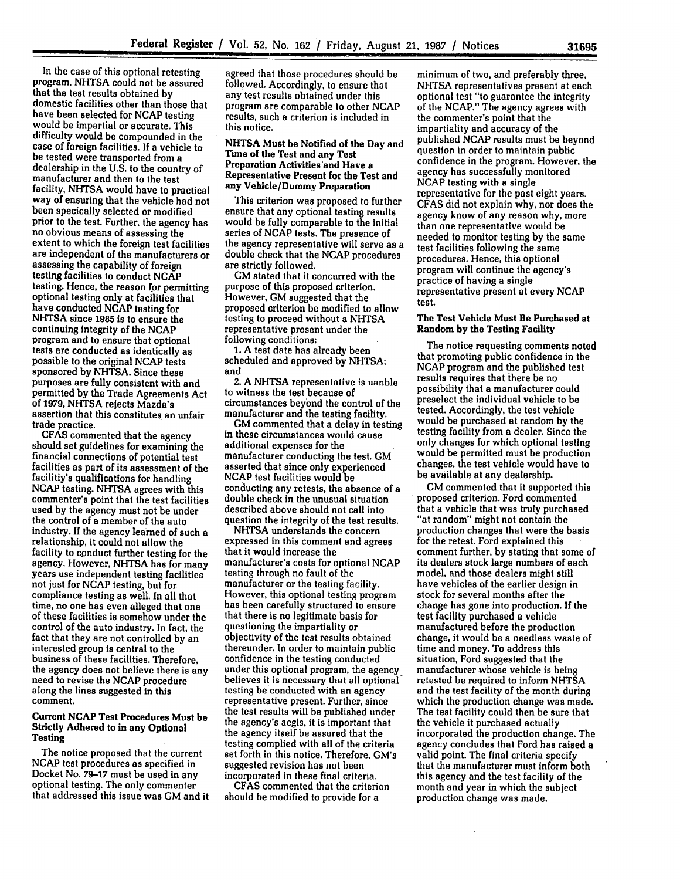In the case of this optional retesting program, NHTSA could not be assured<br>that the test results obtained by domestic facilities other than those that<br>have been selected for NCAP testing would be impartial or accurate. This difficulty would be compounded in the case of foreign facilities. If a vehicle to be tested were transported from a dealership in the U.S. to the country of manufacturer and then to the test facility, NHTSA would have to practical way of ensuring that the vehicle had not been specically selected or modified prior to the test. Further, the agency has no obvious means of assessing the extent to which the foreign test facilities are independent of the manufacturers or assessing the capability of foreign<br>testing facilities to conduct NCAP<br>testing. Hence, the reason for permitting optional testing only at facilities that have conducted **NCAP** testing for NHTSA since **1985** is to ensure the continuing integrity of the **NCAP** program and to ensure that optional tests are conducted as identically as possible to the original NCAP tests sponsored **by** NHTSA. Since these purposes are fully consistent with and permitted **by** the Trade Agreements Act of **1979, NHTSA** rejects Mazda's assertion that this constitutes an unfair

trade practice. **CFAS** commented that the agency should set guidelines for examining the financial connections of potential test facilities as part of its assessment of the facilitiy's qualifications for handling **NCAP** testing. NHTSA agrees with this commenter's point that the test facilities used **by** the agency must not be under the control of a member of the auto industry. **If** the agency learned of such a relationship, it could not allow the facility to conduct further testing for the agency. However, NHTSA has for many years use independent testing facilities not just for **NCAP** testing, but for compliance testing as well. In all that time, no one has even alleged that one of these facilities is somehow under the control of the auto industry. In fact, the fact that they are not controlled **by** an interested group is central to the business of these facilities. Therefore, the agency does not believe there is any need to revise the **NCAP** procedure along the lines suggested in this comment.

### Current **NCAP** Test Procedures Must be Strictly Adhered to in any Optional Testing

The notice proposed that the current **NCAP** test procedures as specified in Docket No. **79-17** must be used in any optional testing. The only commenter that addressed this issue was **GM** and it

agreed that those procedures should be followed. Accordingly, to ensure that any test results obtained under this program are comparable to other NCAP results, such a criterion is included in this notice.

### **NHTSA Must be Notified of the Day and Time of the Test and any Test Preparation Activities'and Have a Representative Present for the Test and any Vehicle/Dummy Preparation**

This criterion was proposed to further ensure that any optional testing results would be fully comparable to the initial series of **NCAP** tests. The presence of the agency representative will serve as a double check that the NCAP procedures are strictly followed.

GM stated that it concurred with the purpose of this proposed criterion. However, GM suggested that the proposed criterion be modified to allow testing to proceed without a NHTSA representative present under the following conditions:

**1.** A test date has already been scheduled and approved **by** NHTSA; and

2. A NHTSA representative is uanble to witness the test because of circumstances beyond the control of the manufacturer and the testing facility.

**GM** commented that a delay in testing in these circumstances would cause additional expenses for the manufacturer conducting the test. GM asserted that since only experienced **NCAP** test facilities would be conducting any retests, the absence of a double check in the unusual situation described above should not call into question the integrity of the test results.

NHTSA understands the concern expressed in this comment and agrees that it would increase the manufacturer's costs for optional **NCAP** testing through no fault of the manufacturer or the testing facility. has been carefully structured to ensure that there is no legitimate basis for questioning the impartiality or objectivity of the test results obtained thereunder. In order to maintain public confidence in the testing conducted under this optional program, the agency believes **it** is necessary that all optional testing be conducted with an agency representative present. Further, since the test results will be published under the agency's aegis, it is important that the agency itself be assured that the testing complied with all of the criteria set forth in this notice. Therefore, GM's suggested revision has not been incorporated in these final criteria.

CFAS commented that the criterion should be modified to provide for a

minimum of two, and preferably three, **NHTSA** representatives present at each optional test "to guarantee the integrity of the NCAP." The agency agrees with the commenter's point that the impartiality and accuracy of the published **NCAP** results must be beyond question in order to maintain public confidence in the program. However, the agency has successfully monitored **NCAP** testing with a single representative for the past eight years. CFAS did not explain why, nor does the agency know of any reason why, more than one representative would be needed to monitor testing by the same test facilities following the same procedures. Hence, this optional program will continue the agency's practice of having a single representative present at every **NCAP** test.

### The Test Vehicle Must Be Purchased at Random by the Testing Facility

The notice requesting comments noted that promoting public confidence in the NCAP program and the published test results requires that ihere be no possibility that a manufacturer could preselect the individual vehicle to be tested. Accordingly, the test vehicle would be purchased at random by the testing facility from a dealer. Since the only-changes for which optional testing would be permitted must be production changes, the test vehicle would have to be available at any dealership.

**GM** commented that it supported this proposed criterion. Ford commented that a vehicle that was truly purchased "at random" might not contain the production changes that were the basis for the retest. Ford explained this comment further, by stating that some of its dealers stock large numbers of each model, and those dealers might still have vehicles of the earlier design in stock for several months after the change has gone into production. **If** the test facility purchased a vehicle manufactured before the production change, it would be a needless waste of time and money. To address this situation, Ford suggested that the manufacturer whose vehicle is being retested be required to inform NHTSA and the test facility of the month during which the production change was made. The test facility could then be sure that the vehicle it purchased actually incorporated the production change. The agency concludes that Ford has raised a valid point. The final criteria specify that the manufacturer must inform both this agency and the test facility of the month and year in which the subject production change was made.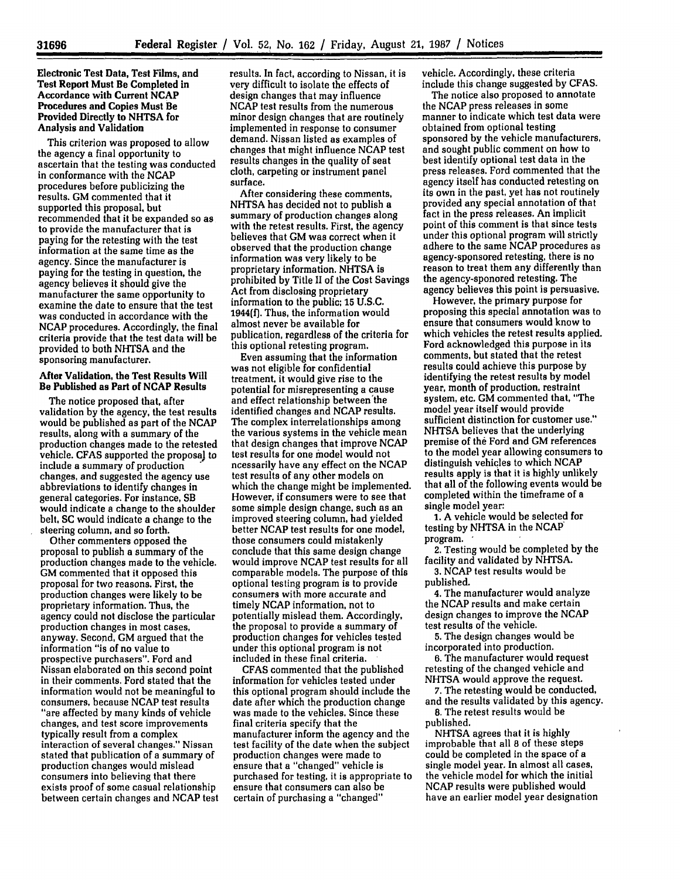**Electronic Test Data, Test Films, and Test Report Must Be Completed in Accordance with Current NCAP Procedures and Copies Must Be Provided Directly to NHTSA for Analysis and Validation**

This criterion was proposed to allow the agency a final opportunity to ascertain that the testing was conducted in conformance with the **NCAP** procedures before publicizing the results. **GM** commented that it supported this proposal, but recommended that it be expanded so as to provide the manufacturer that is paying for the retesting with the test information at the same time as the agency. Since the manufacturer is paying for the testing in question, the agency believes it should give the manufacturer the same opportunity to examine the date to ensure that the test was conducted in accordance with the NCAP procedures. Accordingly, the final criteria provide that the test data will be provided to both NHTSA and the sponsoring manufacturer.

## After Validation, the Test Results Will Be Published as Part of **NCAP** Results

The notice proposed that, after validation **by** the agency, the test results would be published as part of the **NCAP** results, along with a summary of the production changes made to the retested vehicle. **CFAS** supported the proposal to include a summary of production changes, and suggested the agency use abbreviations to identify changes in general categories. For instance, SB would indicate a change to the shoulder belt, SC would indicate a change to the steering column, and so forth.

Other commenters opposed the proposal to publish a summary of the production changes made to the vehicle. **GM** commented that it opposed this proposal for two reasons. First, the production changes were likely to be proprietary information. Thus, the agency could not disclose the particular production changes in most cases, anyway. Second, **GM** argued that the information "is of no value to prospective purchasers". Ford and Nissan elaborated on this second point in their comments. Ford stated that the information would not be meaningful to consumers, because **NCAP** test results "are affected **by** many kinds of vehicle changes, and test score improvements typically result from a complex interaction of several changes." Nissan stated that publication of a summary of production changes would mislead consumers into believing that there exists proof of some casual relationship between certain changes and NCAP test results. In fact, according to Nissan, it is very difficult to isolate the effects of design changes that may influence **NCAP** test results from the numerous minor design changes that are routinely implemented in response to consumer demand. Nissan listed as examples of changes that might influence **NCAP** test results changes in the quality of seat cloth, carpeting or instrument panel surface.

After considering these comments, NHTSA has decided not to publish a summary of production changes along with the retest results. First, the agency believes that **GM** was correct when it observed that the production change information was very likely to be proprietary information. NHTSA is prohibited by Title II of the Cost Savings Act from disclosing proprietary information to the public; **15 U.S.C. 1944(f).** Thus, the information would almost never be available for publication, regardless of the criteria for this optional retesting program.

Even assuming that the information was not eligible for confidential treatment, it would give rise to the potential for misrepresenting a cause and effect relationship between'the identified changes and NCAP results. The complex interrelationships among the various systems in the vehicle mean that design changes that improve **NCAP** test results for one model would not ncessarily have any effect on the **NCAP** test results of any other models on which the change might be implemented. However, if consumers were to see that some simple design change, such as an improved steering column, had yielded better **NCAP** test results for one model, those consumers could mistakenly conclude that this same design change would improve NCAP test results for all comparable models. The purpose of this optional testing program is to provide consumers with more accurate and timely NCAP information, not to potentially mislead them. Accordingly, the proposal to provide a summary of production changes for vehicles tested under this optional program is not included in these final criteria.

CFAS commented that the published information for vehicles tested under this optional program should include the date after which the production change was made to the vehicles. Since these final criteria specify that the manufacturer inform the agency and the test facility of the date when the subject production changes were made to ensure that a "changed" vehicle is purchased for testing, it is appropriate to ensure that consumers can also be certain of purchasing a "changed"

vehicle. Accordingly, these criteria include this change suggested by CFAS.

The notice also proposed to annotate the **NCAP** press releases in some manner to indicate which test data were obtained from optional testing sponsored by the vehicle manufacturers, and sought public comment on how to best identify optional test data in the press releases. Ford commented that the agency itself has conducted retesting on its own in the past, yet has not routinely provided any special annotation of that fact in the press releases. An implicit point of this comment is that since tests under this optional program will strictly adhere to the same **NCAP** procedures as agency-sponsored retesting, there is no reason to treat them any differently than the agency-sponored retesting. The agency believes this point is persuasive.

However, the primary purpose for proposing this special annotation was to ensure that consumers would know to which vehicles the retest results applied. Ford acknowledged this purpose in its comments, but stated that the retest results could achieve this purpose by identifying the retest results by model year, month of production, restraint system, etc, GM commented that, "The model year itself would provide sufficient distinction for customer use." **NHTSA** believes that the underlying premise of **the** Ford and **GM** references to the model year allowing consumers to distinguish vehicles to which **NCAP** results apply is that it is **highly** unlikely that all of the following events would be completed within the timeframe of a single model year:

**1. A** vehicle would be selected for testing **by NHTSA** in the **NCAP** program. **-**

2. Testing would be completed by the facility and validated by NHTSA.

**3.** NCAP test results would be published.

4. The manufacturer would analyze the NCAP results and make certain design changes to improve the NCAP test results of the vehicle.

5. The design changes would be incorporated into production.

**6.** The manufacturer would request retesting of the changed vehicle and NHTSA would approve the request.

7. The retesting would be conducted, and the results validated by this agency.

8. The retest results would be published.

NHTSA agrees that it is highly improbable that all **8** of these steps could be completed in the space of a single model year. In almost all cases, the vehicle model for which the initial NCAP results were published would have an earlier model year designation